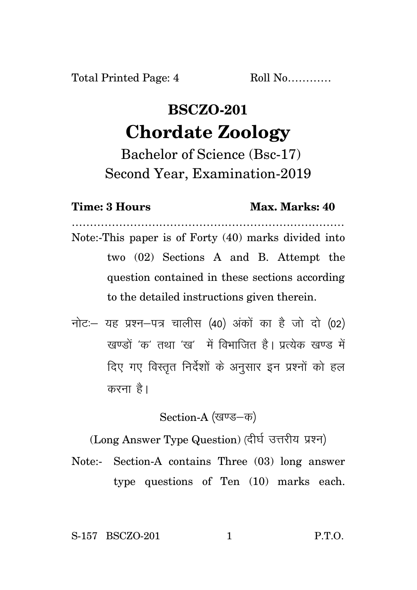## **BSCZO-201 Chordate Zoology**

Bachelor of Science (Bsc-17) Second Year, Examination-2019

**Time: 3 Hours Max. Marks: 40**

- ………………………………………………………………… Note:-This paper is of Forty (40) marks divided into two (02) Sections A and B. Attempt the question contained in these sections according to the detailed instructions given therein.
- नोट: यह प्रश्न-पत्र चालीस (40) अंकों का है जो दो (02) खण्डों 'क' तथा 'ख' में विभाजित है। प्रत्येक खण्ड में दिए गए विस्तुत निर्देशों के अनुसार इन प्रश्नों को हल करना है।

Section-A (खण्ड-क)

(Long Answer Type Question) (दीर्घ उत्तरीय प्रश्न)

Note:- Section-A contains Three (03) long answer type questions of Ten (10) marks each.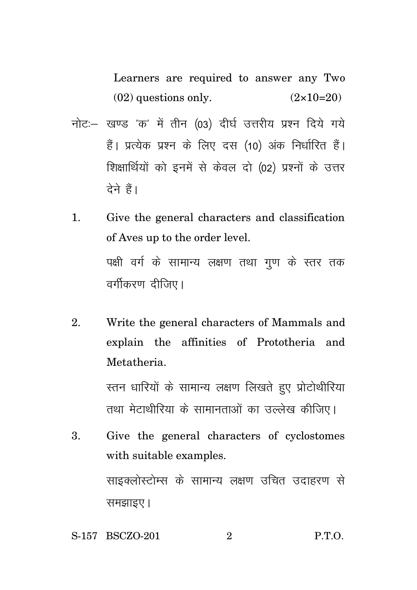Learners are required to answer any Two  $(02)$  questions only.  $(2 \times 10=20)$ 

- नोट: खण्ड 'क' में तीन (03) दीर्घ उत्तरीय प्रश्न दिये गये हैं। प्रत्येक प्रश्न के लिए दस (10) अंक निर्धारित हैं। शिक्षार्थियों को इनमें से केवल दो (02) प्रश्नों के उत्तर  $\vec{a}$ ने हैं।
- 1. Give the general characters and classification of Aves up to the order level. पक्षी वर्ग के सामान्य लक्षण तथा गुण के स्तर तक वर्गीकरण दीजिए।
- 2. Write the general characters of Mammals and explain the affinities of Prototheria and Metatheria.

स्तन धारियों के सामान्य लक्षण लिखते हुए प्रोटोथीरिया तथा मेटाथीरिया के सामानताओं का उल्लेख कीजिए।

- 3. Give the general characters of cyclostomes with suitable examples. साइक्लोस्टोम्स के सामान्य लक्षण उचित उदाहरण से समझाइए।
- S-157 BSCZO-201 2 P.T.O.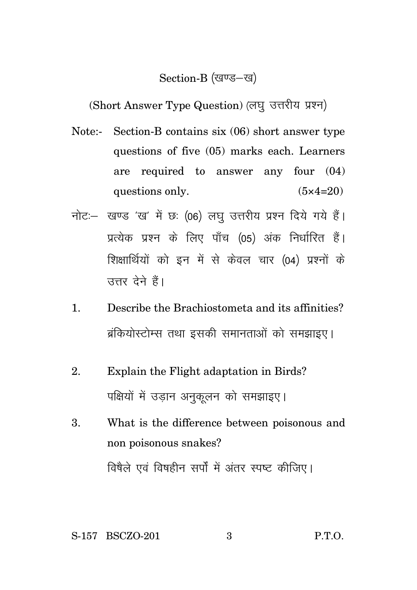## Section-B (खण्ड-ख)

(Short Answer Type Question) (लघु उत्तरीय प्रश्न)

- Note:- Section-B contains six (06) short answer type questions of five (05) marks each. Learners are required to answer any four (04) questions only.  $(5 \times 4=20)$
- नोट: खण्ड 'ख' में छः (06) लघु उत्तरीय प्रश्न दिये गये हैं। प्रत्येक प्रश्न के लिए पाँच (05) अंक निर्धारित हैं। शिक्षार्थियों को इन में से केवल चार (04) प्रश्नों के उत्तर देने हैं।
- 1. Describe the Brachiostometa and its affinities? ब्रंकियोस्टोम्स तथा इसकी समानताओं को समझाइए।
- 2. Explain the Flight adaptation in Birds? पक्षियों में उडान अनुकुलन को समझाइए।
- 3. What is the difference between poisonous and non poisonous snakes? विषैले एवं विषहीन सर्पों में अंतर स्पष्ट कीजिए।

S-157 BSCZO-201 3 P.T.O.